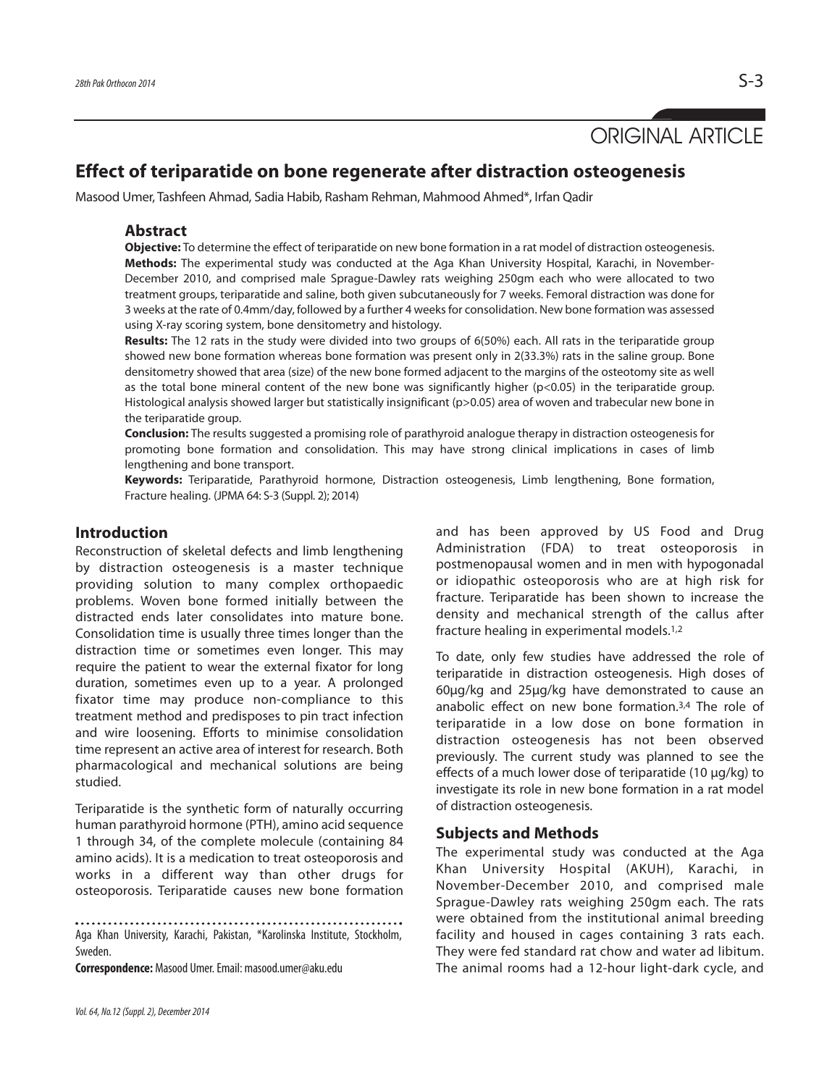# ORIGINAL ARTICLE

## **Effect of teriparatide on bone regenerate after distraction osteogenesis**

Masood Umer, Tashfeen Ahmad, Sadia Habib, Rasham Rehman, Mahmood Ahmed\*, Irfan Qadir

#### **Abstract**

**Objective:** To determine the effect of teriparatide on new bone formation in a rat model of distraction osteogenesis. **Methods:** The experimental study was conducted at the Aga Khan University Hospital, Karachi, in November-December 2010, and comprised male Sprague-Dawley rats weighing 250gm each who were allocated to two treatment groups, teriparatide and saline, both given subcutaneously for 7 weeks. Femoral distraction was done for 3 weeks at the rate of 0.4mm/day, followed by a further 4 weeks for consolidation. New bone formation was assessed using X-ray scoring system, bone densitometry and histology.

**Results:** The 12 rats in the study were divided into two groups of 6(50%) each. All rats in the teriparatide group showed new bone formation whereas bone formation was present only in 2(33.3%) rats in the saline group. Bone densitometry showed that area (size) of the new bone formed adjacent to the margins of the osteotomy site as well as the total bone mineral content of the new bone was significantly higher ( $p<0.05$ ) in the teriparatide group. Histological analysis showed larger but statistically insignificant (p>0.05) area of woven and trabecular new bone in the teriparatide group.

**Conclusion:** The results suggested a promising role of parathyroid analogue therapy in distraction osteogenesis for promoting bone formation and consolidation. This may have strong clinical implications in cases of limb lengthening and bone transport.

**Keywords:** Teriparatide, Parathyroid hormone, Distraction osteogenesis, Limb lengthening, Bone formation, Fracture healing. (JPMA 64: S-3 (Suppl. 2); 2014)

## **Introduction**

Reconstruction of skeletal defects and limb lengthening by distraction osteogenesis is a master technique providing solution to many complex orthopaedic problems. Woven bone formed initially between the distracted ends later consolidates into mature bone. Consolidation time is usually three times longer than the distraction time or sometimes even longer. This may require the patient to wear the external fixator for long duration, sometimes even up to a year. A prolonged fixator time may produce non-compliance to this treatment method and predisposes to pin tract infection and wire loosening. Efforts to minimise consolidation time represent an active area of interest for research. Both pharmacological and mechanical solutions are being studied.

Teriparatide is the synthetic form of naturally occurring human parathyroid hormone (PTH), amino acid sequence 1 through 34, of the complete molecule (containing 84 amino acids). It is a medication to treat osteoporosis and works in a different way than other drugs for osteoporosis. Teriparatide causes new bone formation

Aga Khan University, Karachi, Pakistan, \*Karolinska Institute, Stockholm, Sweden.

**Correspondence:** Masood Umer. Email: masood.umer@aku.edu

and has been approved by US Food and Drug Administration (FDA) to treat osteoporosis in postmenopausal women and in men with hypogonadal or idiopathic osteoporosis who are at high risk for fracture. Teriparatide has been shown to increase the density and mechanical strength of the callus after fracture healing in experimental models.1,2

To date, only few studies have addressed the role of teriparatide in distraction osteogenesis. High doses of 60µg/kg and 25µg/kg have demonstrated to cause an anabolic effect on new bone formation.3,4 The role of teriparatide in a low dose on bone formation in distraction osteogenesis has not been observed previously. The current study was planned to see the effects of a much lower dose of teriparatide (10 µg/kg) to investigate its role in new bone formation in a rat model of distraction osteogenesis.

## **Subjects and Methods**

The experimental study was conducted at the Aga Khan University Hospital (AKUH), Karachi, in November-December 2010, and comprised male Sprague-Dawley rats weighing 250gm each. The rats were obtained from the institutional animal breeding facility and housed in cages containing 3 rats each. They were fed standard rat chow and water ad libitum. The animal rooms had a 12-hour light-dark cycle, and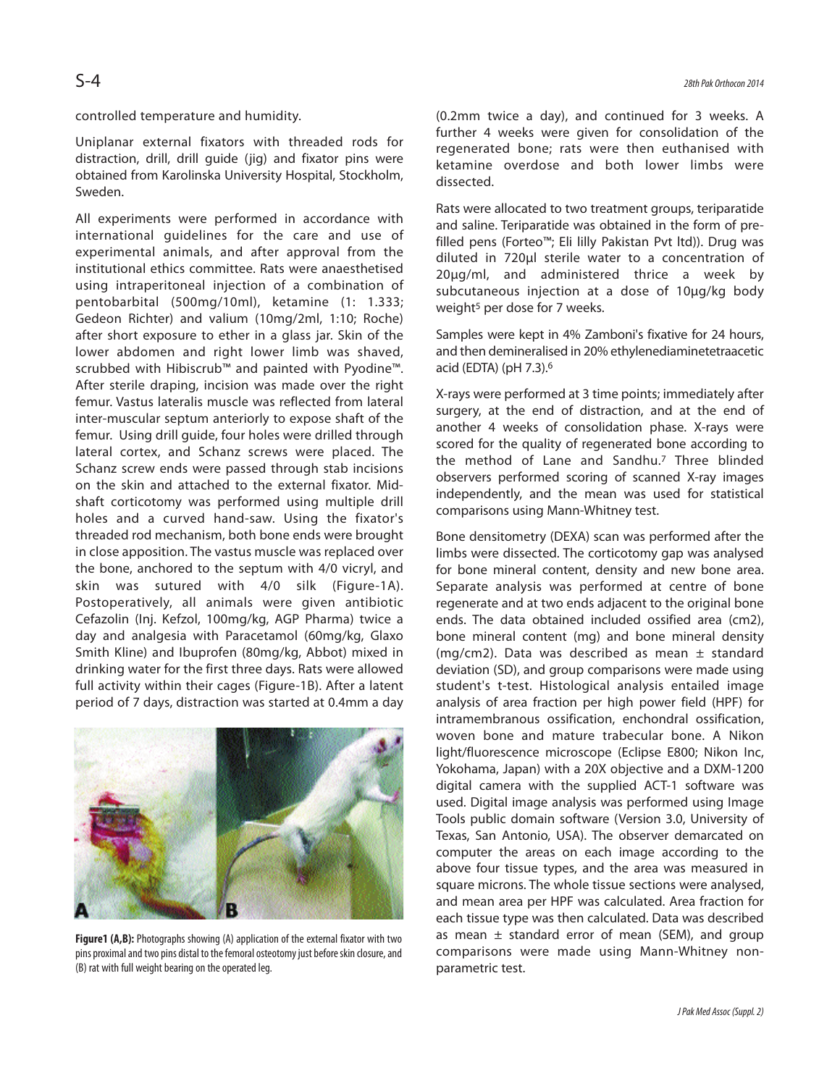controlled temperature and humidity.

Uniplanar external fixators with threaded rods for distraction, drill, drill guide (jig) and fixator pins were obtained from Karolinska University Hospital, Stockholm, Sweden.

All experiments were performed in accordance with international guidelines for the care and use of experimental animals, and after approval from the institutional ethics committee. Rats were anaesthetised using intraperitoneal injection of a combination of pentobarbital (500mg/10ml), ketamine (1: 1.333; Gedeon Richter) and valium (10mg/2ml, 1:10; Roche) after short exposure to ether in a glass jar. Skin of the lower abdomen and right lower limb was shaved, scrubbed with Hibiscrub™ and painted with Pyodine™. After sterile draping, incision was made over the right femur. Vastus lateralis muscle was reflected from lateral inter-muscular septum anteriorly to expose shaft of the femur. Using drill guide, four holes were drilled through lateral cortex, and Schanz screws were placed. The Schanz screw ends were passed through stab incisions on the skin and attached to the external fixator. Midshaft corticotomy was performed using multiple drill holes and a curved hand-saw. Using the fixator's threaded rod mechanism, both bone ends were brought in close apposition. The vastus muscle was replaced over the bone, anchored to the septum with 4/0 vicryl, and skin was sutured with 4/0 silk (Figure-1A). Postoperatively, all animals were given antibiotic Cefazolin (Inj. Kefzol, 100mg/kg, AGP Pharma) twice a day and analgesia with Paracetamol (60mg/kg, Glaxo Smith Kline) and Ibuprofen (80mg/kg, Abbot) mixed in drinking water for the first three days. Rats were allowed full activity within their cages (Figure-1B). After a latent period of 7 days, distraction was started at 0.4mm a day



**Figure1 (A,B):** Photographs showing (A) application of the external fixator with two pins proximal and two pins distal to the femoral osteotomy just before skin closure, and (B) rat with full weight bearing on the operated leg.

(0.2mm twice a day), and continued for 3 weeks. A further 4 weeks were given for consolidation of the regenerated bone; rats were then euthanised with ketamine overdose and both lower limbs were dissected.

Rats were allocated to two treatment groups, teriparatide and saline. Teriparatide was obtained in the form of prefilled pens (Forteo™; Eli lilly Pakistan Pvt ltd)). Drug was diluted in 720µl sterile water to a concentration of 20µg/ml, and administered thrice a week by subcutaneous injection at a dose of 10µg/kg body weight<sup>5</sup> per dose for 7 weeks.

Samples were kept in 4% Zamboni's fixative for 24 hours, and then demineralised in 20% ethylenediaminetetraacetic acid (EDTA) (pH 7.3).<sup>6</sup>

X-rays were performed at 3 time points; immediately after surgery, at the end of distraction, and at the end of another 4 weeks of consolidation phase. X-rays were scored for the quality of regenerated bone according to the method of Lane and Sandhu.<sup>7</sup> Three blinded observers performed scoring of scanned X-ray images independently, and the mean was used for statistical comparisons using Mann-Whitney test.

Bone densitometry (DEXA) scan was performed after the limbs were dissected. The corticotomy gap was analysed for bone mineral content, density and new bone area. Separate analysis was performed at centre of bone regenerate and at two ends adjacent to the original bone ends. The data obtained included ossified area (cm2), bone mineral content (mg) and bone mineral density (mg/cm2). Data was described as mean  $\pm$  standard deviation (SD), and group comparisons were made using student's t-test. Histological analysis entailed image analysis of area fraction per high power field (HPF) for intramembranous ossification, enchondral ossification, woven bone and mature trabecular bone. A Nikon light/fluorescence microscope (Eclipse E800; Nikon Inc, Yokohama, Japan) with a 20X objective and a DXM-1200 digital camera with the supplied ACT-1 software was used. Digital image analysis was performed using Image Tools public domain software (Version 3.0, University of Texas, San Antonio, USA). The observer demarcated on computer the areas on each image according to the above four tissue types, and the area was measured in square microns. The whole tissue sections were analysed, and mean area per HPF was calculated. Area fraction for each tissue type was then calculated. Data was described as mean  $\pm$  standard error of mean (SEM), and group comparisons were made using Mann-Whitney nonparametric test.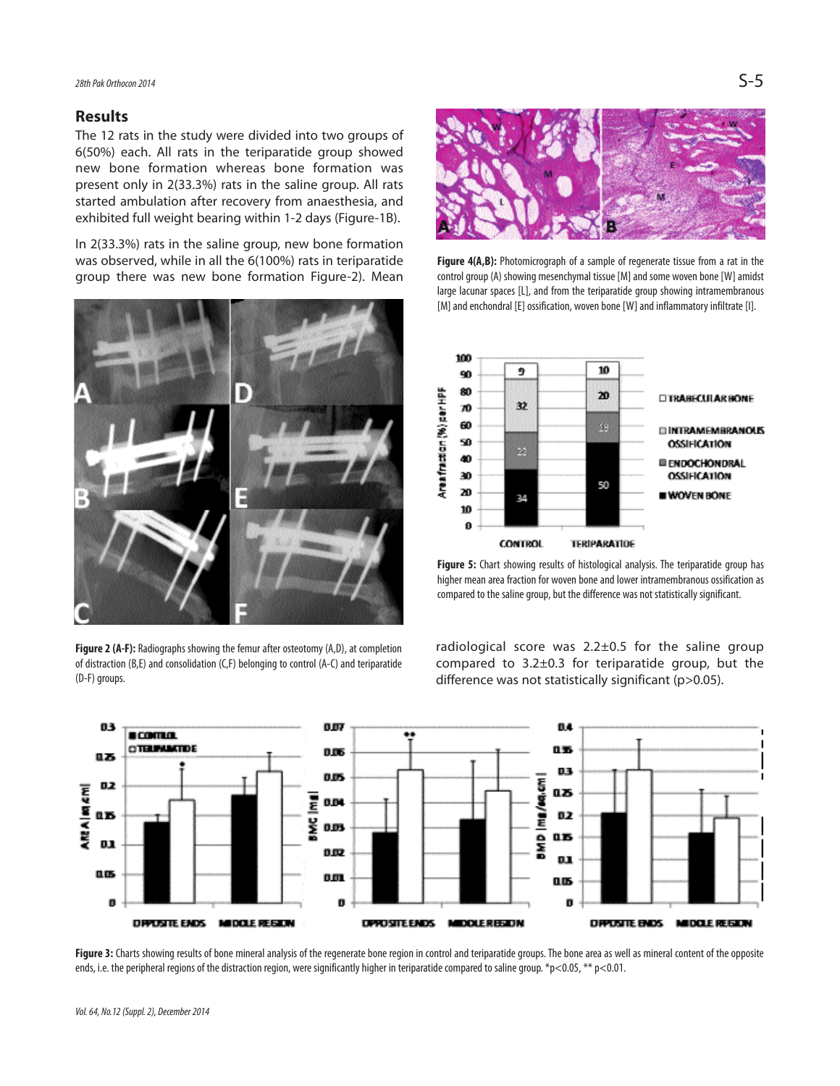#### **Results**

The 12 rats in the study were divided into two groups of 6(50%) each. All rats in the teriparatide group showed new bone formation whereas bone formation was present only in 2(33.3%) rats in the saline group. All rats started ambulation after recovery from anaesthesia, and exhibited full weight bearing within 1-2 days (Figure-1B).

In 2(33.3%) rats in the saline group, new bone formation was observed, while in all the 6(100%) rats in teriparatide group there was new bone formation Figure-2). Mean



**Figure 2 (A-F):** Radiographs showing the femur after osteotomy (A,D), at completion of distraction (B,E) and consolidation (C,F) belonging to control (A-C) and teriparatide (D-F) groups.



**Figure 4(A,B):** Photomicrograph of a sample of regenerate tissue from a rat in the control group (A) showing mesenchymal tissue [M] and some woven bone [W] amidst large lacunar spaces [L], and from the teriparatide group showing intramembranous [M] and enchondral [E] ossification, woven bone [W] and inflammatory infiltrate [I].



**Figure 5:** Chart showing results of histological analysis. The teriparatide group has higher mean area fraction for woven bone and lower intramembranous ossification as compared to the saline group, but the difference was not statistically significant.

radiological score was  $2.2\pm0.5$  for the saline group compared to 3.2±0.3 for teriparatide group, but the difference was not statistically significant (p>0.05).



Figure 3: Charts showing results of bone mineral analysis of the regenerate bone region in control and teriparatide groups. The bone area as well as mineral content of the opposite ends, i.e. the peripheral regions of the distraction region, were significantly higher in teriparatide compared to saline group. \*p<0.05, \*\* p<0.01.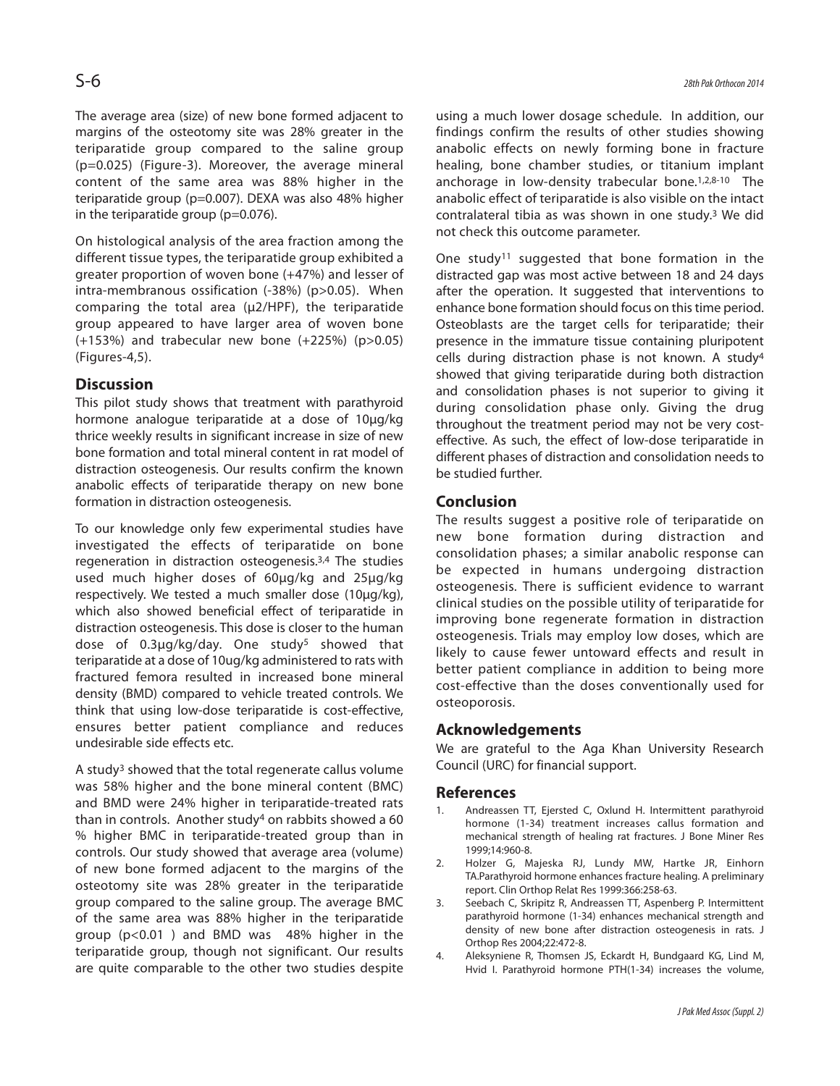The average area (size) of new bone formed adjacent to margins of the osteotomy site was 28% greater in the teriparatide group compared to the saline group (p=0.025) (Figure-3). Moreover, the average mineral content of the same area was 88% higher in the teriparatide group (p=0.007). DEXA was also 48% higher in the teriparatide group (p=0.076).

On histological analysis of the area fraction among the different tissue types, the teriparatide group exhibited a greater proportion of woven bone (+47%) and lesser of intra-membranous ossification (-38%) (p>0.05). When comparing the total area (µ2/HPF), the teriparatide group appeared to have larger area of woven bone (+153%) and trabecular new bone (+225%) (p>0.05) (Figures-4,5).

## **Discussion**

This pilot study shows that treatment with parathyroid hormone analogue teriparatide at a dose of 10µg/kg thrice weekly results in significant increase in size of new bone formation and total mineral content in rat model of distraction osteogenesis. Our results confirm the known anabolic effects of teriparatide therapy on new bone formation in distraction osteogenesis.

To our knowledge only few experimental studies have investigated the effects of teriparatide on bone regeneration in distraction osteogenesis.3,4 The studies used much higher doses of 60µg/kg and 25µg/kg respectively. We tested a much smaller dose (10µg/kg), which also showed beneficial effect of teriparatide in distraction osteogenesis. This dose is closer to the human dose of 0.3µg/kg/day. One study<sup>5</sup> showed that teriparatide at a dose of 10ug/kg administered to rats with fractured femora resulted in increased bone mineral density (BMD) compared to vehicle treated controls. We think that using low-dose teriparatide is cost-effective, ensures better patient compliance and reduces undesirable side effects etc.

A study<sup>3</sup> showed that the total regenerate callus volume was 58% higher and the bone mineral content (BMC) and BMD were 24% higher in teriparatide-treated rats than in controls. Another study<sup>4</sup> on rabbits showed a 60 % higher BMC in teriparatide-treated group than in controls. Our study showed that average area (volume) of new bone formed adjacent to the margins of the osteotomy site was 28% greater in the teriparatide group compared to the saline group. The average BMC of the same area was 88% higher in the teriparatide group (p<0.01 ) and BMD was 48% higher in the teriparatide group, though not significant. Our results are quite comparable to the other two studies despite

using a much lower dosage schedule. In addition, our findings confirm the results of other studies showing anabolic effects on newly forming bone in fracture healing, bone chamber studies, or titanium implant anchorage in low-density trabecular bone.1,2,8-10 The anabolic effect of teriparatide is also visible on the intact contralateral tibia as was shown in one study.<sup>3</sup> We did not check this outcome parameter.

One study<sup>11</sup> suggested that bone formation in the distracted gap was most active between 18 and 24 days after the operation. It suggested that interventions to enhance bone formation should focus on this time period. Osteoblasts are the target cells for teriparatide; their presence in the immature tissue containing pluripotent cells during distraction phase is not known. A study<sup>4</sup> showed that giving teriparatide during both distraction and consolidation phases is not superior to giving it during consolidation phase only. Giving the drug throughout the treatment period may not be very costeffective. As such, the effect of low-dose teriparatide in different phases of distraction and consolidation needs to be studied further.

## **Conclusion**

The results suggest a positive role of teriparatide on new bone formation during distraction and consolidation phases; a similar anabolic response can be expected in humans undergoing distraction osteogenesis. There is sufficient evidence to warrant clinical studies on the possible utility of teriparatide for improving bone regenerate formation in distraction osteogenesis. Trials may employ low doses, which are likely to cause fewer untoward effects and result in better patient compliance in addition to being more cost-effective than the doses conventionally used for osteoporosis.

## **Acknowledgements**

We are grateful to the Aga Khan University Research Council (URC) for financial support.

## **References**

- 1. Andreassen TT, Ejersted C, Oxlund H. Intermittent parathyroid hormone (1-34) treatment increases callus formation and mechanical strength of healing rat fractures. J Bone Miner Res 1999;14:960-8.
- 2. Holzer G, Majeska RJ, Lundy MW, Hartke JR, Einhorn TA.Parathyroid hormone enhances fracture healing. A preliminary report. Clin Orthop Relat Res 1999:366:258-63.
- 3. Seebach C, Skripitz R, Andreassen TT, Aspenberg P. Intermittent parathyroid hormone (1-34) enhances mechanical strength and density of new bone after distraction osteogenesis in rats. J Orthop Res 2004;22:472-8.
- 4. Aleksyniene R, Thomsen JS, Eckardt H, Bundgaard KG, Lind M, Hvid I. Parathyroid hormone PTH(1-34) increases the volume,